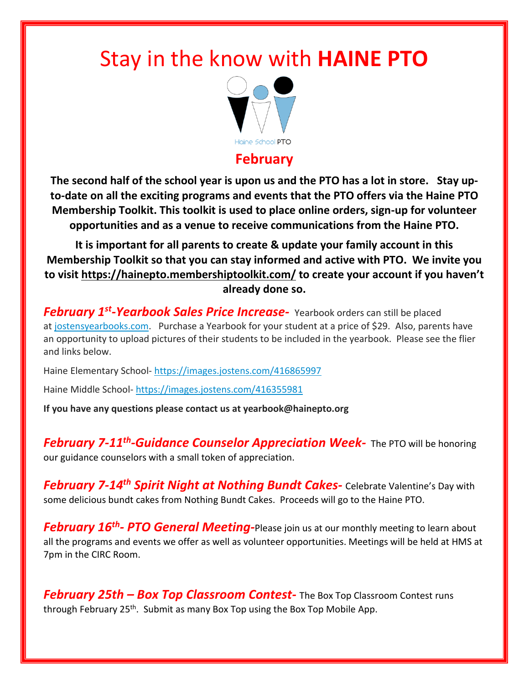## Stay in the know with **HAINE PTO**



## **February**

**The second half of the school year is upon us and the PTO has a lot in store. Stay upto-date on all the exciting programs and events that the PTO offers via the Haine PTO Membership Toolkit. This toolkit is used to place online orders, sign-up for volunteer opportunities and as a venue to receive communications from the Haine PTO.**

**It is important for all parents to create & update your family account in this Membership Toolkit so that you can stay informed and active with PTO. We invite you to visit <https://hainepto.membershiptoolkit.com/> to create your account if you haven't already done so.**

*February 1st -Yearbook Sales Price Increase-* Yearbook orders can still be placed at [jostensyearbooks.com.](https://jostensyearbooks.com/) Purchase a Yearbook for your student at a price of \$29. Also, parents have an opportunity to upload pictures of their students to be included in the yearbook. Please see the flier and links below.

Haine Elementary School- <https://images.jostens.com/416865997>

Haine Middle School- <https://images.jostens.com/416355981>

**If you have any questions please contact us at yearbook@hainepto.org**

*February 7-11th -Guidance Counselor Appreciation Week-* The PTO will be honoring our guidance counselors with a small token of appreciation.

*February 7-14th Spirit Night at Nothing Bundt Cakes-* Celebrate Valentine's Day with some delicious bundt cakes from Nothing Bundt Cakes. Proceeds will go to the Haine PTO.

*February 16th - PTO General Meeting-*Please join us at our monthly meeting to learn about all the programs and events we offer as well as volunteer opportunities. Meetings will be held at HMS at 7pm in the CIRC Room.

*February 25th – Box Top Classroom Contest-* The Box Top Classroom Contest runs through February 25<sup>th</sup>. Submit as many Box Top using the Box Top Mobile App.